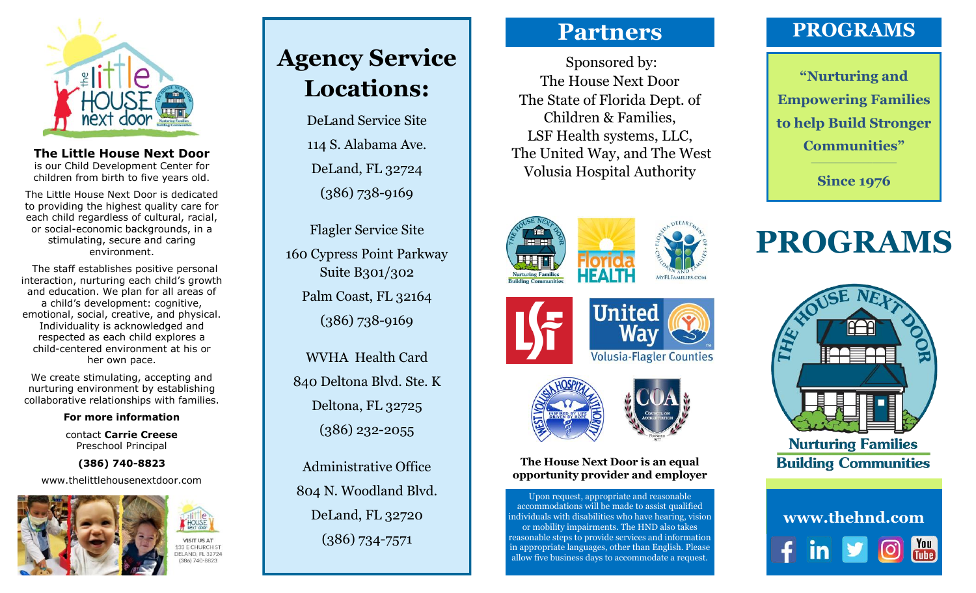

**The Little House Next Door**  is our Child Development Center for children from birth to five years old.

The Little House Next Door is dedicated to providing the highest quality care for each child regardless of cultural, racial, or social-economic backgrounds, in a stimulating, secure and caring environment.

 The staff establishes positive personal interaction, nurturing each child's growth and education. We plan for all areas of a child's development: cognitive, emotional, social, creative, and physical. Individuality is acknowledged and respected as each child explores a child-centered environment at his or her own pace.

We create stimulating, accepting and nurturing environment by establishing collaborative relationships with families.

#### **For more information**

contact **Carrie Creese** Preschool Principal

**(386) 740-8823**

www.thelittlehousenextdoor.com



# **VISIT US AT**

386) 740-8823

# **Agency Service Locations:**

DeLand Service Site 114 S. Alabama Ave. DeLand, FL 32724 (386) 738-9169

Flagler Service Site 160 Cypress Point Parkway Suite B301/302 Palm Coast, FL 32164 (386) 738-9169

WVHA Health Card 840 Deltona Blvd. Ste. K Deltona, FL 32725 (386) 232-2055

Administrative Office 804 N. Woodland Blvd. DeLand, FL 32720 (386) 734-7571

# **Partners**

Sponsored by: The House Next Door The State of Florida Dept. of Children & Families, LSF Health systems, LLC, The United Way, and The West Volusia Hospital Authority







**The House Next Door is an equal opportunity provider and employer**

Upon request, appropriate and reasonable accommodations will be made to assist qualified individuals with disabilities who have hearing, vision or mobility impairments. The HND also takes reasonable steps to provide services and information in appropriate languages, other than English. Please allow five business days to accommodate a request.

# **PROGRAMS**

**"Nurturing and Empowering Families to help Build Stronger Communities"**

**Since 1976**

# **PROGRAMS**



**Nurturing Families Building Communities**